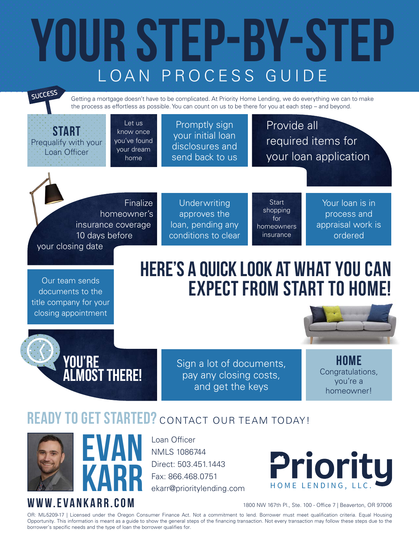## YOUR STEP-By-STEP LOAN PROCESS GUIDE

**SUCCESS** 

Getting a mortgage doesn't have to be complicated. At Priority Home Lending, we do everything we can to make the process as effortless as possible. You can count on us to be there for you at each step – and beyond.

START Prequalify with your Loan Officer

Let us know once you've found your dream home

Promptly sign your initial loan disclosures and send back to us

Provide all required items for your loan application

 Finalize homeowner's insurance coverage 10 days before your closing date

**Underwriting** approves the loan, pending any conditions to clear

**Start** shopping for homeowners insurance

Your loan is in process and appraisal work is ordered

Our team sends documents to the title company for your closing appointment

## HERE'S A QUICK LOOK AT WHAT YOU CAN EXPECT FROM START TO HOME!



Sign a lot of documents, pay any closing costs, and get the keys

HOME Congratulations, you're a homeowner!

## READY TO GET STARTED? CONTACT OUR TEAM TODAY!





### WWW.EVANKARR.COM

Loan Officer NMLS 1086744 Direct: 503.451.1443 Fax: 866.468.0751 ekarr@prioritylending.com



1800 NW 167th Pl., Ste. 100 - Office 7 | Beaverton, OR 97006

OR: ML-5209-17 | Licensed under the Oregon Consumer Finance Act. Not a commitment to lend. Borrower must meet qualification criteria. Equal Housing Opportunity. This information is meant as a guide to show the general steps of the financing transaction. Not every transaction may follow these steps due to the borrower's specific needs and the type of loan the borrower qualifies for.